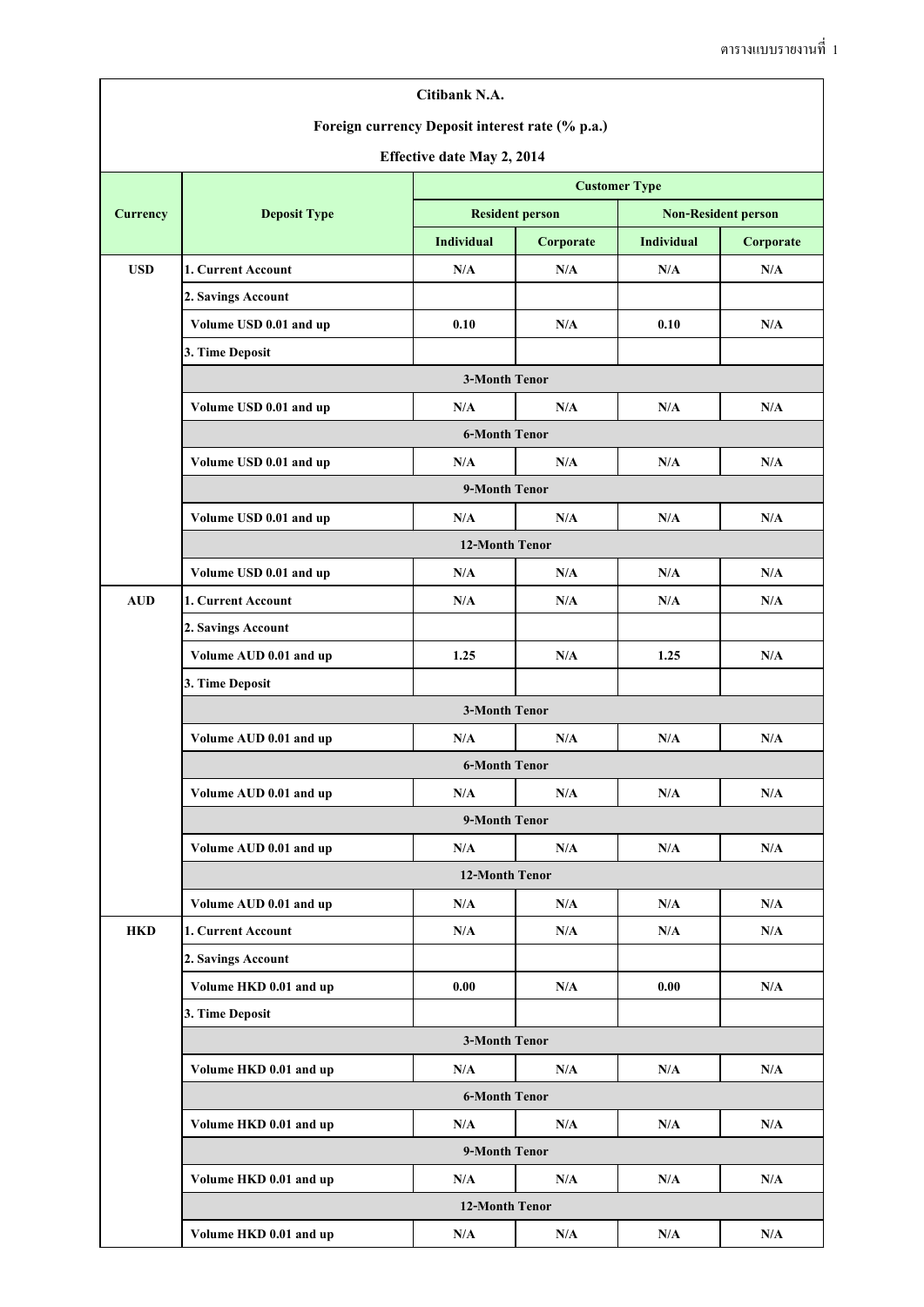| <b>Resident person</b><br><b>Currency</b><br><b>Deposit Type</b><br><b>Individual</b><br><b>USD</b><br>1. Current Account<br>N/A<br>2. Savings Account<br>Volume USD 0.01 and up<br>0.10<br>3. Time Deposit<br>Volume USD 0.01 and up<br>N/A<br>Volume USD 0.01 and up<br>N/A<br>Volume USD 0.01 and up<br>N/A<br>Volume USD 0.01 and up<br>N/A<br><b>AUD</b><br>1. Current Account<br>N/A<br>2. Savings Account<br>Volume AUD 0.01 and up<br>1.25<br>3. Time Deposit<br><b>3-Month Tenor</b><br>Volume AUD 0.01 and up<br>N/A<br><b>6-Month Tenor</b><br>Volume AUD 0.01 and up<br>N/A<br>9-Month Tenor<br>Volume AUD 0.01 and up<br>N/A<br>Volume AUD 0.01 and up<br>N/A<br><b>HKD</b><br>1. Current Account<br>N/A<br>2. Savings Account<br>Volume HKD 0.01 and up<br>0.00<br>3. Time Deposit | <b>Customer Type</b><br>Corporate<br>N/A<br>N/A<br>N/A<br>N/A | <b>Non-Resident person</b><br><b>Individual</b><br>N/A<br>0.10 | Corporate<br>N/A<br>N/A |  |  |  |  |  |  |  |  |
|--------------------------------------------------------------------------------------------------------------------------------------------------------------------------------------------------------------------------------------------------------------------------------------------------------------------------------------------------------------------------------------------------------------------------------------------------------------------------------------------------------------------------------------------------------------------------------------------------------------------------------------------------------------------------------------------------------------------------------------------------------------------------------------------------|---------------------------------------------------------------|----------------------------------------------------------------|-------------------------|--|--|--|--|--|--|--|--|
|                                                                                                                                                                                                                                                                                                                                                                                                                                                                                                                                                                                                                                                                                                                                                                                                  |                                                               |                                                                |                         |  |  |  |  |  |  |  |  |
|                                                                                                                                                                                                                                                                                                                                                                                                                                                                                                                                                                                                                                                                                                                                                                                                  |                                                               |                                                                |                         |  |  |  |  |  |  |  |  |
|                                                                                                                                                                                                                                                                                                                                                                                                                                                                                                                                                                                                                                                                                                                                                                                                  |                                                               |                                                                |                         |  |  |  |  |  |  |  |  |
|                                                                                                                                                                                                                                                                                                                                                                                                                                                                                                                                                                                                                                                                                                                                                                                                  |                                                               |                                                                |                         |  |  |  |  |  |  |  |  |
|                                                                                                                                                                                                                                                                                                                                                                                                                                                                                                                                                                                                                                                                                                                                                                                                  |                                                               |                                                                |                         |  |  |  |  |  |  |  |  |
|                                                                                                                                                                                                                                                                                                                                                                                                                                                                                                                                                                                                                                                                                                                                                                                                  |                                                               |                                                                |                         |  |  |  |  |  |  |  |  |
|                                                                                                                                                                                                                                                                                                                                                                                                                                                                                                                                                                                                                                                                                                                                                                                                  |                                                               |                                                                |                         |  |  |  |  |  |  |  |  |
|                                                                                                                                                                                                                                                                                                                                                                                                                                                                                                                                                                                                                                                                                                                                                                                                  |                                                               |                                                                | <b>3-Month Tenor</b>    |  |  |  |  |  |  |  |  |
|                                                                                                                                                                                                                                                                                                                                                                                                                                                                                                                                                                                                                                                                                                                                                                                                  |                                                               | N/A                                                            | N/A                     |  |  |  |  |  |  |  |  |
|                                                                                                                                                                                                                                                                                                                                                                                                                                                                                                                                                                                                                                                                                                                                                                                                  |                                                               | <b>6-Month Tenor</b>                                           |                         |  |  |  |  |  |  |  |  |
|                                                                                                                                                                                                                                                                                                                                                                                                                                                                                                                                                                                                                                                                                                                                                                                                  |                                                               | N/A                                                            | N/A                     |  |  |  |  |  |  |  |  |
|                                                                                                                                                                                                                                                                                                                                                                                                                                                                                                                                                                                                                                                                                                                                                                                                  | 9-Month Tenor                                                 |                                                                |                         |  |  |  |  |  |  |  |  |
|                                                                                                                                                                                                                                                                                                                                                                                                                                                                                                                                                                                                                                                                                                                                                                                                  | N/A                                                           | N/A                                                            | N/A                     |  |  |  |  |  |  |  |  |
|                                                                                                                                                                                                                                                                                                                                                                                                                                                                                                                                                                                                                                                                                                                                                                                                  | <b>12-Month Tenor</b>                                         |                                                                |                         |  |  |  |  |  |  |  |  |
|                                                                                                                                                                                                                                                                                                                                                                                                                                                                                                                                                                                                                                                                                                                                                                                                  | N/A                                                           | N/A                                                            | N/A                     |  |  |  |  |  |  |  |  |
|                                                                                                                                                                                                                                                                                                                                                                                                                                                                                                                                                                                                                                                                                                                                                                                                  | N/A                                                           | N/A                                                            | N/A                     |  |  |  |  |  |  |  |  |
|                                                                                                                                                                                                                                                                                                                                                                                                                                                                                                                                                                                                                                                                                                                                                                                                  |                                                               |                                                                |                         |  |  |  |  |  |  |  |  |
|                                                                                                                                                                                                                                                                                                                                                                                                                                                                                                                                                                                                                                                                                                                                                                                                  | N/A                                                           | 1.25                                                           | N/A                     |  |  |  |  |  |  |  |  |
|                                                                                                                                                                                                                                                                                                                                                                                                                                                                                                                                                                                                                                                                                                                                                                                                  |                                                               |                                                                |                         |  |  |  |  |  |  |  |  |
|                                                                                                                                                                                                                                                                                                                                                                                                                                                                                                                                                                                                                                                                                                                                                                                                  |                                                               |                                                                |                         |  |  |  |  |  |  |  |  |
|                                                                                                                                                                                                                                                                                                                                                                                                                                                                                                                                                                                                                                                                                                                                                                                                  | N/A                                                           | N/A                                                            | N/A                     |  |  |  |  |  |  |  |  |
|                                                                                                                                                                                                                                                                                                                                                                                                                                                                                                                                                                                                                                                                                                                                                                                                  |                                                               |                                                                |                         |  |  |  |  |  |  |  |  |
|                                                                                                                                                                                                                                                                                                                                                                                                                                                                                                                                                                                                                                                                                                                                                                                                  | N/A                                                           | N/A                                                            | N/A                     |  |  |  |  |  |  |  |  |
|                                                                                                                                                                                                                                                                                                                                                                                                                                                                                                                                                                                                                                                                                                                                                                                                  |                                                               |                                                                |                         |  |  |  |  |  |  |  |  |
|                                                                                                                                                                                                                                                                                                                                                                                                                                                                                                                                                                                                                                                                                                                                                                                                  | N/A                                                           | N/A                                                            | N/A                     |  |  |  |  |  |  |  |  |
|                                                                                                                                                                                                                                                                                                                                                                                                                                                                                                                                                                                                                                                                                                                                                                                                  | 12-Month Tenor                                                |                                                                |                         |  |  |  |  |  |  |  |  |
|                                                                                                                                                                                                                                                                                                                                                                                                                                                                                                                                                                                                                                                                                                                                                                                                  | N/A                                                           | N/A                                                            | N/A                     |  |  |  |  |  |  |  |  |
|                                                                                                                                                                                                                                                                                                                                                                                                                                                                                                                                                                                                                                                                                                                                                                                                  | N/A                                                           | N/A                                                            | N/A                     |  |  |  |  |  |  |  |  |
|                                                                                                                                                                                                                                                                                                                                                                                                                                                                                                                                                                                                                                                                                                                                                                                                  |                                                               |                                                                |                         |  |  |  |  |  |  |  |  |
|                                                                                                                                                                                                                                                                                                                                                                                                                                                                                                                                                                                                                                                                                                                                                                                                  | N/A                                                           | 0.00                                                           | N/A                     |  |  |  |  |  |  |  |  |
|                                                                                                                                                                                                                                                                                                                                                                                                                                                                                                                                                                                                                                                                                                                                                                                                  |                                                               |                                                                |                         |  |  |  |  |  |  |  |  |
|                                                                                                                                                                                                                                                                                                                                                                                                                                                                                                                                                                                                                                                                                                                                                                                                  | <b>3-Month Tenor</b>                                          |                                                                |                         |  |  |  |  |  |  |  |  |
| Volume HKD 0.01 and up<br>N/A                                                                                                                                                                                                                                                                                                                                                                                                                                                                                                                                                                                                                                                                                                                                                                    | N/A                                                           | N/A                                                            | N/A                     |  |  |  |  |  |  |  |  |
|                                                                                                                                                                                                                                                                                                                                                                                                                                                                                                                                                                                                                                                                                                                                                                                                  | <b>6-Month Tenor</b>                                          |                                                                |                         |  |  |  |  |  |  |  |  |
| Volume HKD 0.01 and up<br>N/A                                                                                                                                                                                                                                                                                                                                                                                                                                                                                                                                                                                                                                                                                                                                                                    | N/A                                                           | N/A                                                            | N/A                     |  |  |  |  |  |  |  |  |
|                                                                                                                                                                                                                                                                                                                                                                                                                                                                                                                                                                                                                                                                                                                                                                                                  | 9-Month Tenor                                                 |                                                                |                         |  |  |  |  |  |  |  |  |
| Volume HKD 0.01 and up<br>N/A                                                                                                                                                                                                                                                                                                                                                                                                                                                                                                                                                                                                                                                                                                                                                                    | N/A                                                           | N/A                                                            | N/A                     |  |  |  |  |  |  |  |  |
|                                                                                                                                                                                                                                                                                                                                                                                                                                                                                                                                                                                                                                                                                                                                                                                                  | 12-Month Tenor                                                |                                                                |                         |  |  |  |  |  |  |  |  |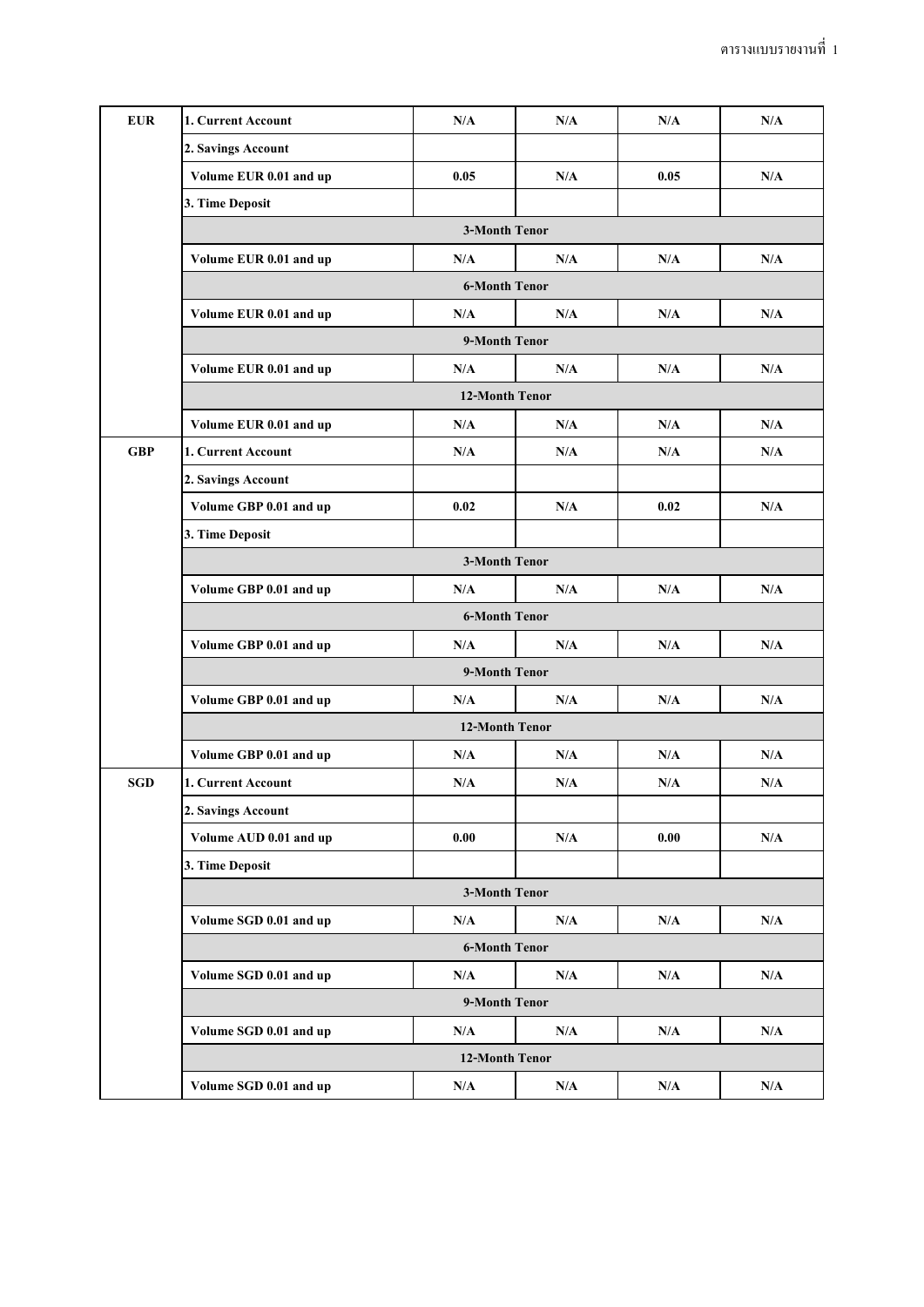| <b>EUR</b> | 1. Current Account     | N/A                     | N/A | N/A  | N/A |  |  |  |  |
|------------|------------------------|-------------------------|-----|------|-----|--|--|--|--|
|            | 2. Savings Account     |                         |     |      |     |  |  |  |  |
|            | Volume EUR 0.01 and up | 0.05                    | N/A | 0.05 | N/A |  |  |  |  |
|            | 3. Time Deposit        |                         |     |      |     |  |  |  |  |
|            | <b>3-Month Tenor</b>   |                         |     |      |     |  |  |  |  |
|            | Volume EUR 0.01 and up | N/A                     | N/A | N/A  | N/A |  |  |  |  |
|            | <b>6-Month Tenor</b>   |                         |     |      |     |  |  |  |  |
|            | Volume EUR 0.01 and up | N/A                     | N/A | N/A  | N/A |  |  |  |  |
|            | 9-Month Tenor          |                         |     |      |     |  |  |  |  |
|            | Volume EUR 0.01 and up | N/A                     | N/A | N/A  | N/A |  |  |  |  |
|            | 12-Month Tenor         |                         |     |      |     |  |  |  |  |
|            | Volume EUR 0.01 and up | N/A                     | N/A | N/A  | N/A |  |  |  |  |
| <b>GBP</b> | 1. Current Account     | N/A                     | N/A | N/A  | N/A |  |  |  |  |
|            | 2. Savings Account     |                         |     |      |     |  |  |  |  |
|            | Volume GBP 0.01 and up | 0.02                    | N/A | 0.02 | N/A |  |  |  |  |
|            | 3. Time Deposit        |                         |     |      |     |  |  |  |  |
|            | <b>3-Month Tenor</b>   |                         |     |      |     |  |  |  |  |
|            | Volume GBP 0.01 and up | N/A                     | N/A | N/A  | N/A |  |  |  |  |
|            | <b>6-Month Tenor</b>   |                         |     |      |     |  |  |  |  |
|            | Volume GBP 0.01 and up | N/A                     | N/A | N/A  | N/A |  |  |  |  |
|            | 9-Month Tenor          |                         |     |      |     |  |  |  |  |
|            | Volume GBP 0.01 and up | N/A                     | N/A | N/A  | N/A |  |  |  |  |
|            | 12-Month Tenor         |                         |     |      |     |  |  |  |  |
|            | Volume GBP 0.01 and up | $\mathbf{N}/\mathbf{A}$ | N/A | N/A  | N/A |  |  |  |  |
| <b>SGD</b> | 1. Current Account     | N/A                     | N/A | N/A  | N/A |  |  |  |  |
|            | 2. Savings Account     |                         |     |      |     |  |  |  |  |
|            | Volume AUD 0.01 and up | 0.00                    | N/A | 0.00 | N/A |  |  |  |  |
|            | 3. Time Deposit        |                         |     |      |     |  |  |  |  |
|            | <b>3-Month Tenor</b>   |                         |     |      |     |  |  |  |  |
|            | Volume SGD 0.01 and up | N/A                     | N/A | N/A  | N/A |  |  |  |  |
|            | <b>6-Month Tenor</b>   |                         |     |      |     |  |  |  |  |
|            | Volume SGD 0.01 and up | N/A                     | N/A | N/A  | N/A |  |  |  |  |
|            | 9-Month Tenor          |                         |     |      |     |  |  |  |  |
|            | Volume SGD 0.01 and up | N/A                     | N/A | N/A  | N/A |  |  |  |  |
|            | 12-Month Tenor         |                         |     |      |     |  |  |  |  |
|            | Volume SGD 0.01 and up | N/A                     | N/A | N/A  | N/A |  |  |  |  |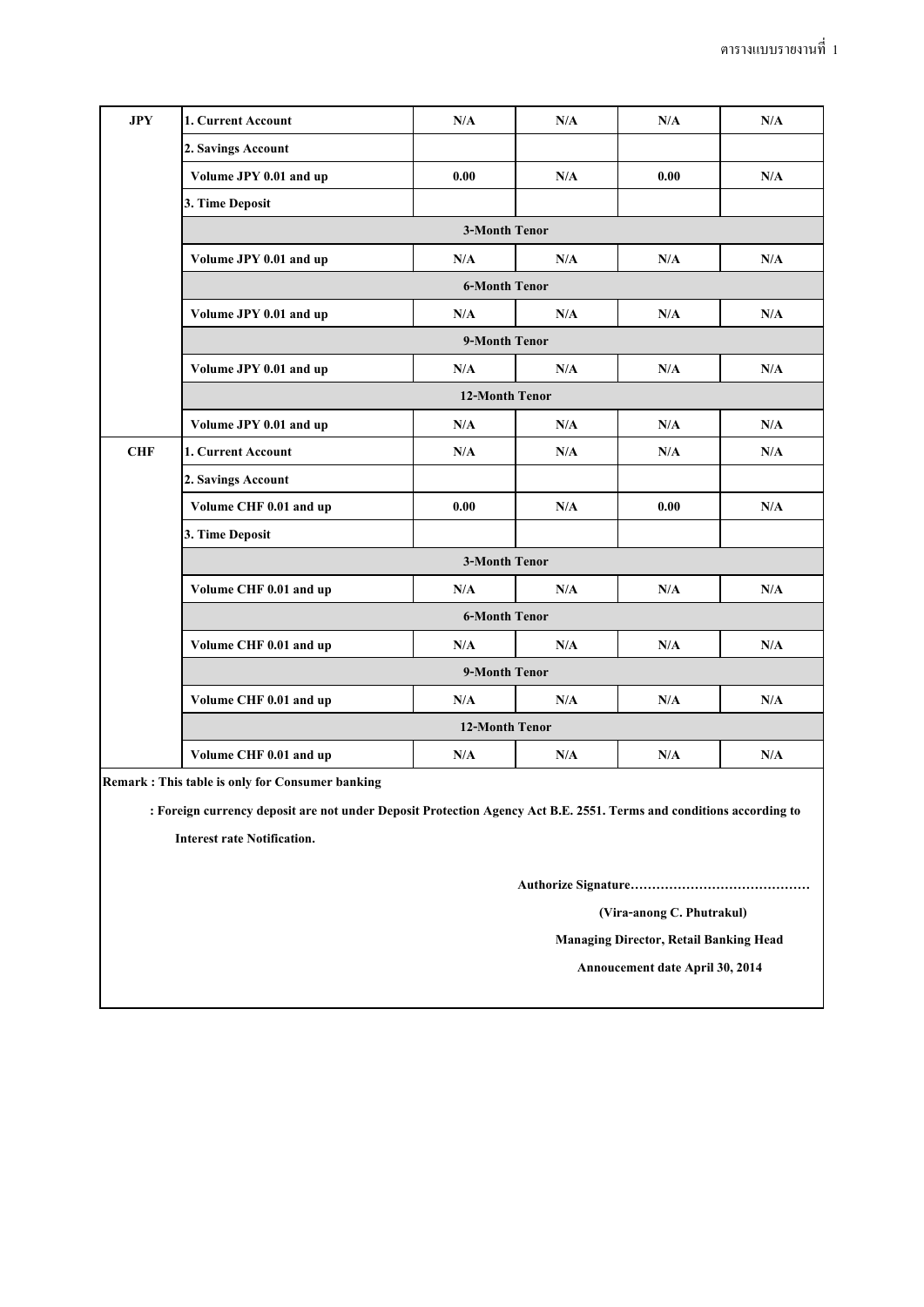| JPY        | 1. Current Account     | N/A  | N/A                     | N/A  | N/A                     |  |  |  |  |
|------------|------------------------|------|-------------------------|------|-------------------------|--|--|--|--|
|            | 2. Savings Account     |      |                         |      |                         |  |  |  |  |
|            | Volume JPY 0.01 and up | 0.00 | N/A                     | 0.00 | N/A                     |  |  |  |  |
|            | 3. Time Deposit        |      |                         |      |                         |  |  |  |  |
|            | <b>3-Month Tenor</b>   |      |                         |      |                         |  |  |  |  |
|            | Volume JPY 0.01 and up | N/A  | N/A                     | N/A  | N/A                     |  |  |  |  |
|            | <b>6-Month Tenor</b>   |      |                         |      |                         |  |  |  |  |
|            | Volume JPY 0.01 and up | N/A  | N/A                     | N/A  | N/A                     |  |  |  |  |
|            | 9-Month Tenor          |      |                         |      |                         |  |  |  |  |
|            | Volume JPY 0.01 and up | N/A  | N/A                     | N/A  | N/A                     |  |  |  |  |
|            | 12-Month Tenor         |      |                         |      |                         |  |  |  |  |
|            | Volume JPY 0.01 and up | N/A  | N/A                     | N/A  | N/A                     |  |  |  |  |
| <b>CHF</b> | 1. Current Account     | N/A  | N/A                     | N/A  | N/A                     |  |  |  |  |
|            | 2. Savings Account     |      |                         |      |                         |  |  |  |  |
|            | Volume CHF 0.01 and up | 0.00 | N/A                     | 0.00 | N/A                     |  |  |  |  |
|            | 3. Time Deposit        |      |                         |      |                         |  |  |  |  |
|            | <b>3-Month Tenor</b>   |      |                         |      |                         |  |  |  |  |
|            | Volume CHF 0.01 and up | N/A  | N/A                     | N/A  | N/A                     |  |  |  |  |
|            | <b>6-Month Tenor</b>   |      |                         |      |                         |  |  |  |  |
|            | Volume CHF 0.01 and up | N/A  | N/A                     | N/A  | N/A                     |  |  |  |  |
|            | 9-Month Tenor          |      |                         |      |                         |  |  |  |  |
|            | Volume CHF 0.01 and up | N/A  | N/A                     | N/A  | $\mathbf{N}/\mathbf{A}$ |  |  |  |  |
|            | <b>12-Month Tenor</b>  |      |                         |      |                         |  |  |  |  |
|            | Volume CHF 0.01 and up | N/A  | $\mathbf{N}/\mathbf{A}$ | N/A  | N/A                     |  |  |  |  |
|            |                        |      |                         |      |                         |  |  |  |  |

**Remark : This table is only for Consumer banking**

 **: Foreign currency deposit are not under Deposit Protection Agency Act B.E. 2551. Terms and conditions according to** 

 **Interest rate Notification.**

**Authorize Signature……………………………………**

 **(Vira-anong C. Phutrakul)**

**Managing Director, Retail Banking Head**

**Annoucement date April 30, 2014**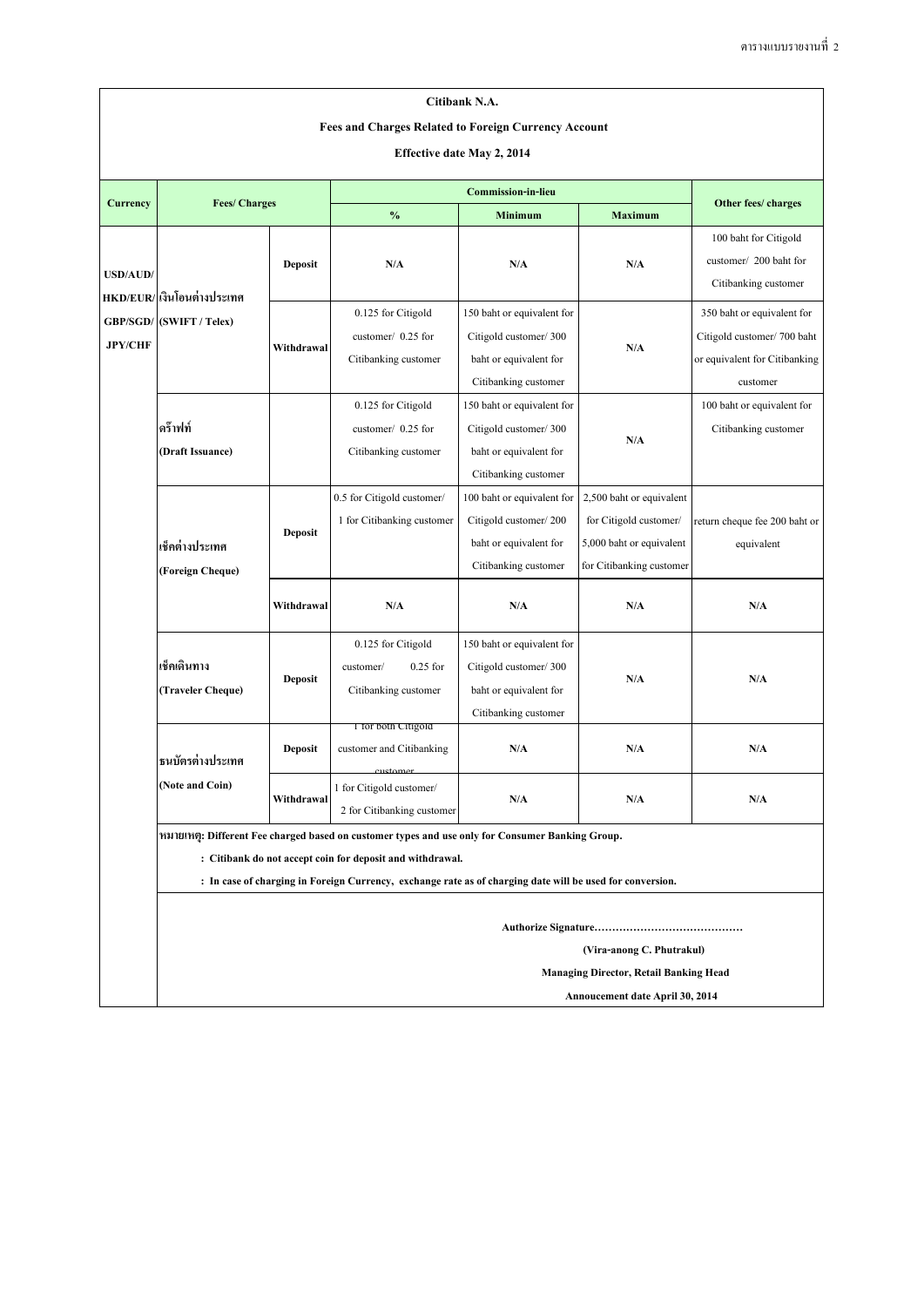|                                   |                                                                                                  |                |                                                                                                                                                                                                                                                                            | Citibank N.A.                                                                                         |                                                                                                            |                                                                                                       |  |  |
|-----------------------------------|--------------------------------------------------------------------------------------------------|----------------|----------------------------------------------------------------------------------------------------------------------------------------------------------------------------------------------------------------------------------------------------------------------------|-------------------------------------------------------------------------------------------------------|------------------------------------------------------------------------------------------------------------|-------------------------------------------------------------------------------------------------------|--|--|
|                                   | <b>Fees and Charges Related to Foreign Currency Account</b><br><b>Effective date May 2, 2014</b> |                |                                                                                                                                                                                                                                                                            |                                                                                                       |                                                                                                            |                                                                                                       |  |  |
|                                   | <b>Fees/Charges</b>                                                                              |                |                                                                                                                                                                                                                                                                            |                                                                                                       |                                                                                                            |                                                                                                       |  |  |
| <b>Currency</b>                   |                                                                                                  |                | $\frac{0}{0}$<br><b>Minimum</b>                                                                                                                                                                                                                                            |                                                                                                       | <b>Maximum</b>                                                                                             | Other fees/ charges                                                                                   |  |  |
| <b>USD/AUD/</b><br><b>JPY/CHF</b> | HKD/EUR/ เงินโอนต่างประเทศ<br>GBP/SGD/ (SWIFT / Telex)                                           | <b>Deposit</b> | N/A                                                                                                                                                                                                                                                                        | N/A                                                                                                   | N/A                                                                                                        | 100 baht for Citigold<br>customer/ 200 baht for<br>Citibanking customer                               |  |  |
|                                   |                                                                                                  | Withdrawal     | 0.125 for Citigold<br>customer/ 0.25 for<br>Citibanking customer                                                                                                                                                                                                           | 150 baht or equivalent for<br>Citigold customer/300<br>baht or equivalent for<br>Citibanking customer | N/A                                                                                                        | 350 baht or equivalent for<br>Citigold customer/700 baht<br>or equivalent for Citibanking<br>customer |  |  |
|                                   | ิดร๊าฟท์<br>(Draft Issuance)                                                                     |                | 0.125 for Citigold<br>customer/ 0.25 for<br>Citibanking customer                                                                                                                                                                                                           | 150 baht or equivalent for<br>Citigold customer/300<br>baht or equivalent for<br>Citibanking customer | N/A                                                                                                        | 100 baht or equivalent for<br>Citibanking customer                                                    |  |  |
|                                   | เช็คต่างประเทศ<br>(Foreign Cheque)                                                               | Deposit        | 0.5 for Citigold customer/<br>1 for Citibanking customer                                                                                                                                                                                                                   | 100 baht or equivalent for<br>Citigold customer/200<br>baht or equivalent for<br>Citibanking customer | 2,500 baht or equivalent<br>for Citigold customer/<br>5,000 baht or equivalent<br>for Citibanking customer | return cheque fee 200 baht or<br>equivalent                                                           |  |  |
|                                   |                                                                                                  | Withdrawal     | N/A                                                                                                                                                                                                                                                                        | N/A                                                                                                   | N/A                                                                                                        | N/A                                                                                                   |  |  |
|                                   | เช็คเดินทาง<br>(Traveler Cheque)                                                                 | <b>Deposit</b> | 0.125 for Citigold<br>$0.25$ for<br>customer/<br>Citibanking customer                                                                                                                                                                                                      | 150 baht or equivalent for<br>Citigold customer/300<br>baht or equivalent for<br>Citibanking customer | N/A                                                                                                        | $\mathbf{N}/\mathbf{A}$                                                                               |  |  |
|                                   | ิธนบัตรต่างประเทศ<br>(Note and Coin)                                                             | <b>Deposit</b> | 1 for both Citigoid<br>customer and Citibanking<br><u>custamor</u>                                                                                                                                                                                                         | N/A                                                                                                   | N/A                                                                                                        | $\mathbf{N}/\mathbf{A}$                                                                               |  |  |
|                                   |                                                                                                  | Withdrawal     | 1 for Citigold customer/<br>2 for Citibanking customer                                                                                                                                                                                                                     | N/A                                                                                                   | N/A                                                                                                        | N/A                                                                                                   |  |  |
|                                   |                                                                                                  |                | หมายเหตุ: Different Fee charged based on customer types and use only for Consumer Banking Group.<br>: Citibank do not accept coin for deposit and withdrawal.<br>: In case of charging in Foreign Currency, exchange rate as of charging date will be used for conversion. |                                                                                                       |                                                                                                            |                                                                                                       |  |  |

 **Authorize Signature……………………………………**

**Managing Director, Retail Banking Head**

 **(Vira-anong C. Phutrakul)**

**Annoucement date April 30, 2014**